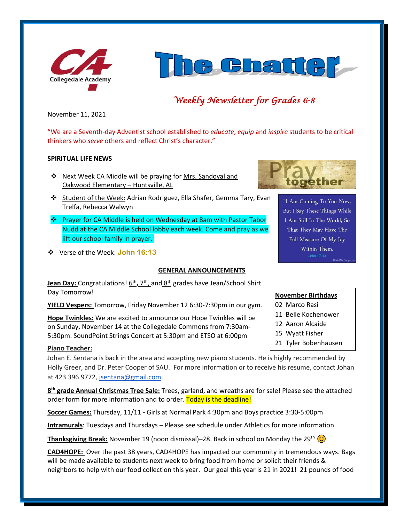



# *Weekly Newsletter for Grades 6-8*

November 11, 2021

"We are a Seventh-day Adventist school established to *educate*, *equip* and *inspire* students to be critical thinkers who *serve* others and reflect Christ's character."

## **SPIRITUAL LIFE NEWS**

- ❖ Next Week CA Middle will be praying for Mrs. Sandoval and Oakwood Elementary – Huntsville, AL
- ❖ Student of the Week: Adrian Rodriguez, Ella Shafer, Gemma Tary, Evan Trelfa, Rebecca Walwyn
- ❖ Prayer for CA Middle is held on Wednesday at 8am with Pastor Tabor Nudd at the CA Middle School lobby each week. Come and pray as we lift our school family in prayer.
- ❖ Verse of the Week: **John 16:13**

#### **GENERAL ANNOUNCEMENTS**

**Jean Day:** Congratulations!  $6<sup>th</sup>$ , 7<sup>th</sup>, and  $8<sup>th</sup>$  grades have Jean/School Shirt Day Tomorrow!

**YIELD Vespers:** Tomorrow, Friday November 12 6:30-7:30pm in our gym.

**Hope Twinkles:** We are excited to announce our Hope Twinkles will be on Sunday, November 14 at the Collegedale Commons from 7:30am-5:30pm. SoundPoint Strings Concert at 5:30pm and ETSO at 6:00pm

## **Piano Teacher:**

Johan E. Sentana is back in the area and accepting new piano students. He is highly recommended by Holly Greer, and Dr. Peter Cooper of SAU. For more information or to receive his resume, contact Johan at 423.396.9772, [jsentana@gmail.com.](mailto:jsentana@gmail.com)

**8 th grade Annual Christmas Tree Sale:** Trees, garland, and wreaths are for sale! Please see the attached order form for more information and to order. Today is the deadline!

**Soccer Games:** Thursday, 11/11 - Girls at Normal Park 4:30pm and Boys practice 3:30-5:00pm

**Intramurals**: Tuesdays and Thursdays – Please see schedule under Athletics for more information.

**Thanksgiving Break:** November 19 (noon dismissal)–28. Back in school on Monday the 29<sup>th</sup>  $\odot$ 

**CAD4HOPE:** Over the past 38 years, CAD4HOPE has impacted our community in tremendous ways. Bags will be made available to students next week to bring food from home or solicit their friends & neighbors to help with our food collection this year. Our goal this year is 21 in 2021! 21 pounds of food



"I Am Coming To You Now, But I Say These Things While I Am Still In The World, So That They May Have The Full Measure Of My Joy Within Them.

# **November Birthdays**

- 02 Marco Rasi
- 11 Belle Kochenower
- 12 Aaron Alcaide
- 15 Wyatt Fisher
- 21 Tyler Bobenhausen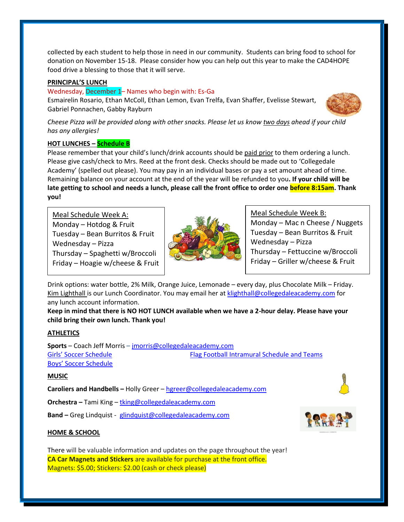collected by each student to help those in need in our community. Students can bring food to school for donation on November 15-18. Please consider how you can help out this year to make the CAD4HOPE food drive a blessing to those that it will serve.

## **PRINCIPAL'S LUNCH**

#### Wednesday, December 1– Names who begin with: Es-Ga

Esmairelin Rosario, Ethan McColl, Ethan Lemon, Evan Trelfa, Evan Shaffer, Evelisse Stewart, Gabriel Ponnachen, Gabby Rayburn



*Cheese Pizza will be provided along with other snacks. Please let us know two days ahead if your child has any allergies!*

## **HOT LUNCHES – Schedule B**

Please remember that your child's lunch/drink accounts should be paid prior to them ordering a lunch. Please give cash/check to Mrs. Reed at the front desk. Checks should be made out to 'Collegedale Academy' (spelled out please). You may pay in an individual bases or pay a set amount ahead of time. Remaining balance on your account at the end of the year will be refunded to you**. If your child will be late getting to school and needs a lunch, please call the front office to order one before 8:15am. Thank you!** 

Meal Schedule Week A: Monday – Hotdog  $&$  Fruit Tuesday – Bean Burritos & Fruit Wednesday – Pizza ▪ Thursday – Spaghetti w/Broccoli Friday – Hoagie w/cheese & Fruit



Meal Schedule Week B: Monday – Mac n Cheese / Nuggets Tuesday – Bean Burritos & Fruit Wednesday – Pizza Thursday – Fettuccine w/Broccoli Friday – Griller w/cheese & Fruit

Drink options: water bottle, 2% Milk, Orange Juice, Lemonade – every day, plus Chocolate Milk – Friday. Kim Lighthall is our Lunch Coordinator. You may email her at [klighthall@collegedaleacademy.com](mailto:klighthall@collegedaleacademy.com) for any lunch account information.

**Keep in mind that there is NO HOT LUNCH available when we have a 2-hour delay. Please have your child bring their own lunch. Thank you!**

# **ATHLETICS**

**Sports** – Coach Jeff Morris – [jmorris@collegedaleacademy.com](mailto:jmorris@collegedaleacademy.com) [Girls' Soccer Schedule](https://www.collegedaleacademy.com/wp-content/uploads/2021/10/Girls-2021-2022-Soccer-Schedule.pdf) [Flag Football Intramural Schedule and Teams](https://www.collegedaleacademy.com/wp-content/uploads/2021/10/Flag-Football-Intramurals.pdf) [Boys' Soccer Schedule](https://www.collegedaleacademy.com/wp-content/uploads/2021/10/Boys-2021-2022-Soccer-Schedule.pdf)

#### **MUSIC**

**Caroliers and Handbells –** Holly Greer – [hgreer@collegedaleacademy.com](mailto:hgreer@collegedaleacademy.com)

**Orchestra –** Tami King – [tking@collegedaleacademy.com](mailto:tking@collegedaleacademy.com)

**Band –** Greg Lindquist - [glindquist@collegedaleacademy.com](mailto:glindquist@collegedaleacademy.com)



There will be valuable information and updates on the page throughout the year! **CA Car Magnets and Stickers** are available for purchase at the front office. Magnets: \$5.00; Stickers: \$2.00 (cash or check please)